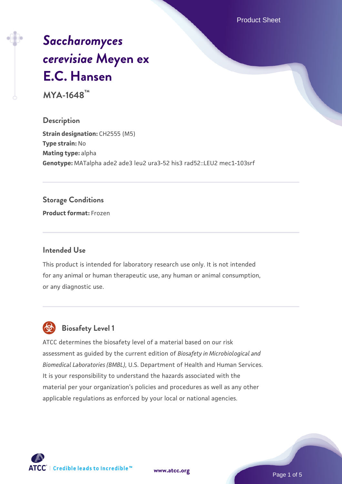Product Sheet

# *[Saccharomyces](https://www.atcc.org/products/mya-1648) [cerevisiae](https://www.atcc.org/products/mya-1648)* **[Meyen ex](https://www.atcc.org/products/mya-1648) [E.C. Hansen](https://www.atcc.org/products/mya-1648)**

**MYA-1648™**

### **Description**

**Strain designation: CH2555 (M5) Type strain:** No **Mating type:** alpha **Genotype:** MATalpha ade2 ade3 leu2 ura3-52 his3 rad52::LEU2 mec1-103srf

#### **Storage Conditions**

**Product format:** Frozen

#### **Intended Use**

This product is intended for laboratory research use only. It is not intended for any animal or human therapeutic use, any human or animal consumption, or any diagnostic use.

## **Biosafety Level 1**

ATCC determines the biosafety level of a material based on our risk assessment as guided by the current edition of *Biosafety in Microbiological and Biomedical Laboratories (BMBL)*, U.S. Department of Health and Human Services. It is your responsibility to understand the hazards associated with the material per your organization's policies and procedures as well as any other applicable regulations as enforced by your local or national agencies.

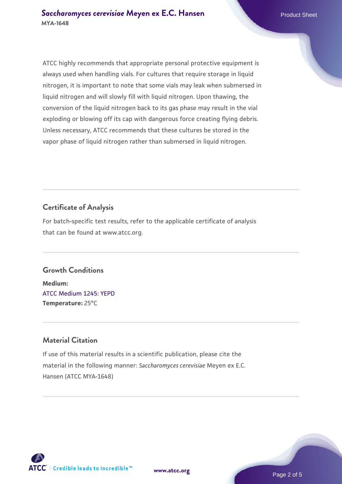ATCC highly recommends that appropriate personal protective equipment is always used when handling vials. For cultures that require storage in liquid nitrogen, it is important to note that some vials may leak when submersed in liquid nitrogen and will slowly fill with liquid nitrogen. Upon thawing, the conversion of the liquid nitrogen back to its gas phase may result in the vial exploding or blowing off its cap with dangerous force creating flying debris. Unless necessary, ATCC recommends that these cultures be stored in the vapor phase of liquid nitrogen rather than submersed in liquid nitrogen.

### **Certificate of Analysis**

For batch-specific test results, refer to the applicable certificate of analysis that can be found at www.atcc.org.

## **Growth Conditions**

**Medium:**  [ATCC Medium 1245: YEPD](https://www.atcc.org/-/media/product-assets/documents/microbial-media-formulations/1/2/4/5/atcc-medium-1245.pdf?rev=705ca55d1b6f490a808a965d5c072196) **Temperature:** 25°C

### **Material Citation**

If use of this material results in a scientific publication, please cite the material in the following manner: *Saccharomyces cerevisiae* Meyen ex E.C. Hansen (ATCC MYA-1648)

**[www.atcc.org](http://www.atcc.org)**



Page 2 of 5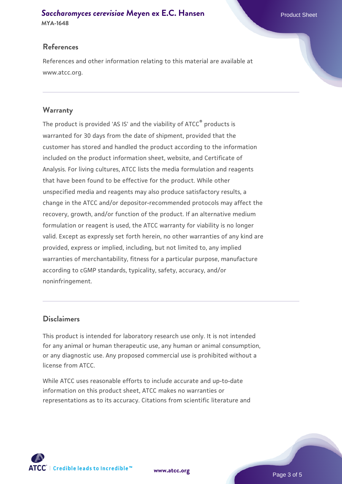# **[Saccharomyces cerevisiae](https://www.atcc.org/products/mya-1648)** [Meyen ex E.C. Hansen](https://www.atcc.org/products/mya-1648)

#### **MYA-1648**

#### **References**

References and other information relating to this material are available at www.atcc.org.

#### **Warranty**

The product is provided 'AS IS' and the viability of ATCC® products is warranted for 30 days from the date of shipment, provided that the customer has stored and handled the product according to the information included on the product information sheet, website, and Certificate of Analysis. For living cultures, ATCC lists the media formulation and reagents that have been found to be effective for the product. While other unspecified media and reagents may also produce satisfactory results, a change in the ATCC and/or depositor-recommended protocols may affect the recovery, growth, and/or function of the product. If an alternative medium formulation or reagent is used, the ATCC warranty for viability is no longer valid. Except as expressly set forth herein, no other warranties of any kind are provided, express or implied, including, but not limited to, any implied warranties of merchantability, fitness for a particular purpose, manufacture according to cGMP standards, typicality, safety, accuracy, and/or noninfringement.

#### **Disclaimers**

This product is intended for laboratory research use only. It is not intended for any animal or human therapeutic use, any human or animal consumption, or any diagnostic use. Any proposed commercial use is prohibited without a license from ATCC.

While ATCC uses reasonable efforts to include accurate and up-to-date information on this product sheet, ATCC makes no warranties or representations as to its accuracy. Citations from scientific literature and



**[www.atcc.org](http://www.atcc.org)**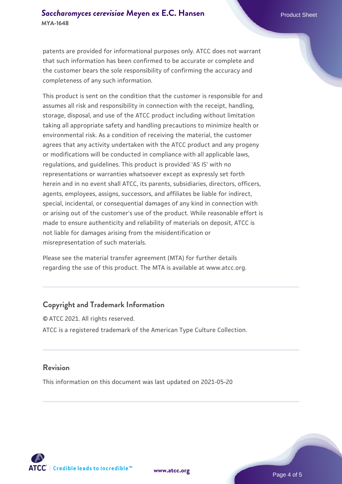#### **[Saccharomyces cerevisiae](https://www.atcc.org/products/mya-1648)** [Meyen ex E.C. Hansen](https://www.atcc.org/products/mya-1648) **MYA-1648**

patents are provided for informational purposes only. ATCC does not warrant that such information has been confirmed to be accurate or complete and the customer bears the sole responsibility of confirming the accuracy and completeness of any such information.

This product is sent on the condition that the customer is responsible for and assumes all risk and responsibility in connection with the receipt, handling, storage, disposal, and use of the ATCC product including without limitation taking all appropriate safety and handling precautions to minimize health or environmental risk. As a condition of receiving the material, the customer agrees that any activity undertaken with the ATCC product and any progeny or modifications will be conducted in compliance with all applicable laws, regulations, and guidelines. This product is provided 'AS IS' with no representations or warranties whatsoever except as expressly set forth herein and in no event shall ATCC, its parents, subsidiaries, directors, officers, agents, employees, assigns, successors, and affiliates be liable for indirect, special, incidental, or consequential damages of any kind in connection with or arising out of the customer's use of the product. While reasonable effort is made to ensure authenticity and reliability of materials on deposit, ATCC is not liable for damages arising from the misidentification or misrepresentation of such materials.

Please see the material transfer agreement (MTA) for further details regarding the use of this product. The MTA is available at www.atcc.org.

### **Copyright and Trademark Information**

© ATCC 2021. All rights reserved. ATCC is a registered trademark of the American Type Culture Collection.

#### **Revision**

This information on this document was last updated on 2021-05-20